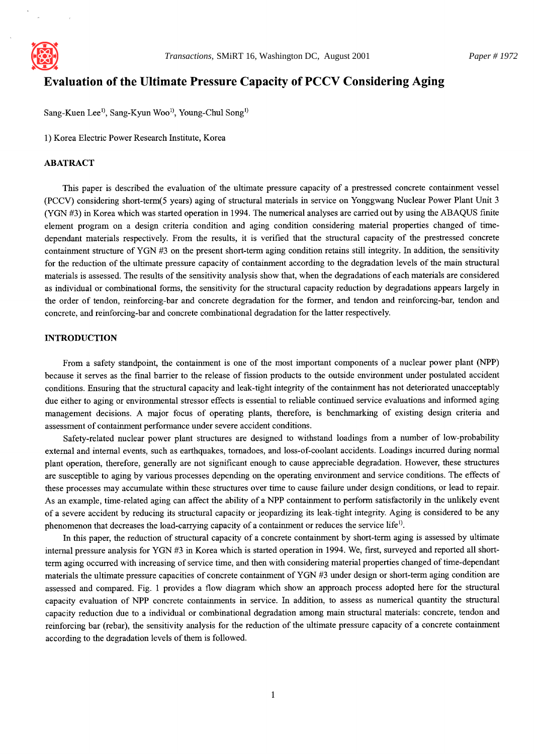

# **Evaluation of the Ultimate Pressure Capacity of PCCV Considering Aging**

Sang-Kuen Lee<sup>1)</sup>, Sang-Kyun Woo<sup>1)</sup>, Young-Chul Song<sup>1)</sup>

1) Korea Electric Power Research Institute, Korea

#### ABATRACT

This paper is described the evaluation of the ultimate pressure capacity of a prestressed concrete containment vessel (PCCV) considering short-term(5 years) aging of structural materials in service on Yonggwang Nuclear Power Plant Unit 3 (YGN #3) in Korea which was started operation in 1994. The numerical analyses are carried out by using the ABAQUS finite element program on a design criteria condition and aging condition considering material properties changed of timedependant materials respectively. From the results, it is verified that the structural capacity of the prestressed concrete containment structure of YGN #3 on the present short-term aging condition retains still integrity. In addition, the sensitivity for the reduction of the ultimate pressure capacity of containment according to the degradation levels of the main structural materials is assessed. The results of the sensitivity analysis show that, when the degradations of each materials are considered as individual or combinational forms, the sensitivity for the structural capacity reduction by degradations appears largely in the order of tendon, reinforcing-bar and concrete degradation for the former, and tendon and reinforcing-bar, tendon and concrete, and reinforcing-bar and concrete combinational degradation for the latter respectively.

## INTRODUCTION

From a safety standpoint, the containment is one of the most important components of a nuclear power plant (NPP) because it serves as the final barrier to the release of fission products to the outside environment under postulated accident conditions. Ensuring that the structural capacity and leak-tight integrity of the containment has not deteriorated unacceptably due either to aging or environmental stressor effects is essential to reliable continued service evaluations and informed aging management decisions. A major focus of operating plants, therefore, is benchmarking of existing design criteria and assessment of containment performance under severe accident conditions.

Safety-related nuclear power plant structures are designed to withstand loadings from a number of low-probability external and internal events, such as earthquakes, tornadoes, and loss-of-coolant accidents. Loadings incurred during normal plant operation, therefore, generally are not significant enough to cause appreciable degradation. However, these structures are susceptible to aging by various processes depending on the operating environment and service conditions. The effects of these processes may accumulate within these structures over time to cause failure under design conditions, or lead to repair. As an example, time-related aging can affect the ability of a NPP containment to perform satisfactorily in the unlikely event of a severe accident by reducing its structural capacity or jeopardizing its leak-tight integrity. Aging is considered to be any phenomenon that decreases the load-carrying capacity of a containment or reduces the service life<sup>1)</sup>.

In this paper, the reduction of structural capacity of a concrete containment by short-term aging is assessed by ultimate internal pressure analysis for YGN #3 in Korea which is started operation in 1994. We, first, surveyed and reported all shortterm aging occurred with increasing of service time, and then with considering material properties changed of time-dependant materials the ultimate pressure capacities of concrete containment of YGN #3 under design or short-term aging condition are assessed and compared. Fig. 1 provides a flow diagram which show an approach process adopted here for the structural capacity evaluation of NPP concrete containments in service. In addition, to assess as numerical quantity the structural capacity reduction due to a individual or combinational degradation among main structural materials: concrete, tendon and reinforcing bar (rebar), the sensitivity analysis for the reduction of the ultimate pressure capacity of a concrete containment according to the degradation levels of them is followed.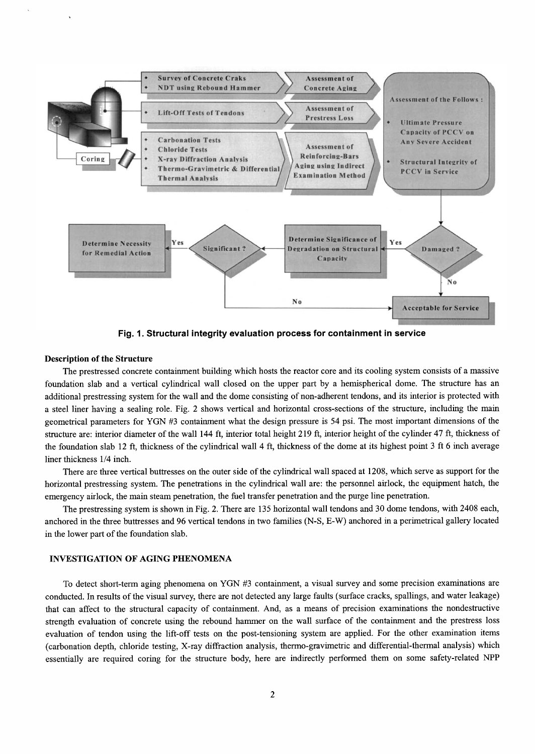

Fig. 1. Structural integrity evaluation process for containment in service

#### **Description of the Structure**

The prestressed concrete containment building which hosts the reactor core and its cooling system consists of a massive foundation slab and a vertical cylindrical wall closed on the upper part by a hemispherical dome. The structure has an additional prestressing system for the wall and the dome consisting of non-adherent tendons, and its interior is protected with a steel liner having a sealing role. Fig. 2 shows vertical and horizontal cross-sections of the structure, including the main geometrical parameters for YGN #3 containment what the design pressure is 54 psi. The most important dimensions of the structure are: interior diameter of the wall 144 ft, interior total height 219 ft, interior height of the cylinder 47 ft, thickness of the foundation slab 12 ft, thickness of the cylindrical wall 4 ft, thickness of the dome at its highest point 3 ft 6 inch average liner thickness 1/4 inch.

There are three vertical buttresses on the outer side of the cylindrical wall spaced at 1208, which serve as support for the horizontal prestressing system. The penetrations in the cylindrical wall are: the personnel airlock, the equipment hatch, the emergency airlock, the main steam penetration, the fuel transfer penetration and the purge line penetration.

The prestressing system is shown in Fig. 2. There are 135 horizontal wall tendons and 30 dome tendons, with 2408 each, anchored in the three buttresses and 96 vertical tendons in two families (N-S, E-W) anchored in a perimetrical gallery located in the lower part of the foundation slab.

#### **INVESTIGATION OF AGING PHENOMENA**

To detect short-term aging phenomena on YGN #3 containment, a visual survey and some precision examinations are conducted. In results of the visual survey, there are not detected any large faults (surface cracks, spallings, and water leakage) that can affect to the structural capacity of containment. And, as a means of precision examinations the nondestructive strength evaluation of concrete using the rebound hammer on the wall surface of the containment and the prestress loss evaluation of tendon using the lift-off tests on the post-tensioning system are applied. For the other examination items (carbonation depth, chloride testing, X-ray diffraction analysis, thermo-gravimetric and differential-thermal analysis) which essentially are required coring for the structure body, here are indirectly performed them on some safety-related NPP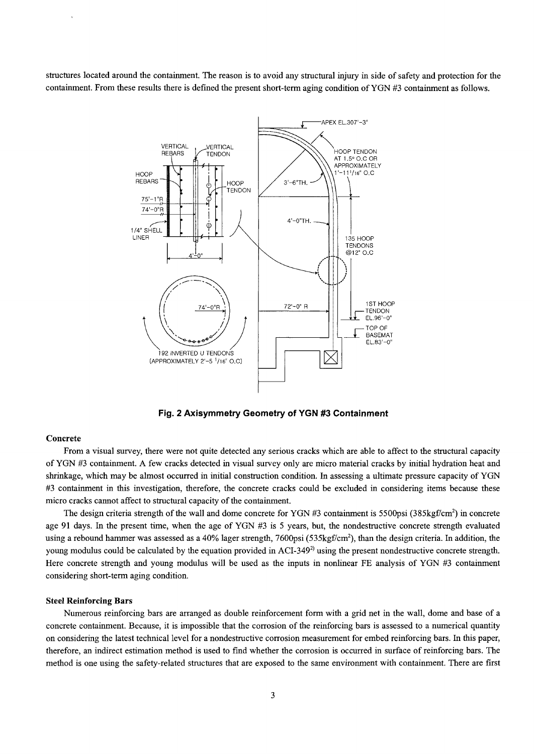**structures located around the containment. The reason is to avoid any structural injury in side of safety and protection for the containment. From these results there is defined the present short-term aging condition of YGN #3 containment as follows.** 



**Fig. 2 Axisymmetry Geometry of YGN #3 Containment** 

#### **Concrete**

**From a visual survey, there were not quite detected any serious cracks which are able to affect to the structural capacity of YGN #3 containment. A few cracks detected in visual survey only are micro material cracks by initial hydration heat and shrinkage, which may be almost occurred in initial construction condition. In assessing a ultimate pressure capacity of YGN #3 containment in this investigation, therefore, the concrete cracks could be excluded in considering items because these micro cracks cannot affect to structural capacity of the containment.** 

The design criteria strength of the wall and dome concrete for YGN #3 containment is 5500psi (385kgf/cm<sup>2</sup>) in concrete **age 91 days. In the present time, when the age of YGN #3 is 5 years, but, the nondestructive concrete strength evaluated**  using a rebound hammer was assessed as a 40% lager strength, 7600psi (535kgf/cm<sup>2</sup>), than the design criteria. In addition, the **young modulus could be calculated by the equation provided in ACI-3492) using the present nondestructive concrete strength. Here concrete strength and young modulus will be used as the inputs in nonlinear FE analysis of YGN #3 containment considering short-term aging condition.** 

#### **Steel Reinforcing Bars**

**Numerous reinforcing bars are arranged as double reinforcement form with a grid net in the wall, dome and base of a concrete containment. Because, it is impossible that the corrosion of the reinforcing bars is assessed to a numerical quantity on considering the latest technical level for a nondestructive corrosion measurement for embed reinforcing bars. In this paper, therefore, an indirect estimation method is used to find whether the corrosion is occurred in surface of reinforcing bars. The method is one using the safety-related structures that are exposed to the same environment with containment. There are first**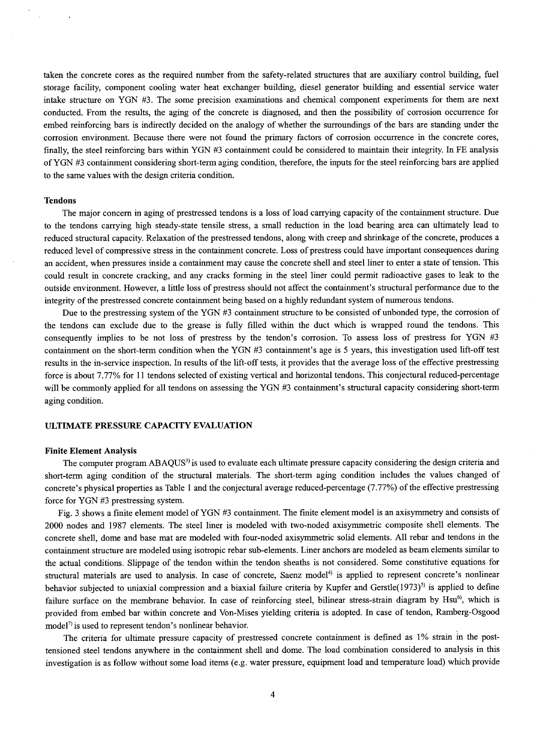taken the concrete cores as the required number from the safety-related structures that are auxiliary control building, fuel storage facility, component cooling water heat exchanger building, diesel generator building and essential service water intake structure on YGN #3. The some precision examinations and chemical component experiments for them are next conducted. From the results, the aging of the concrete is diagnosed, and then the possibility of corrosion occurrence for embed reinforcing bars is indirectly decided on the analogy of whether the surroundings of the bars are standing under the corrosion environment. Because there were not found the primary factors of corrosion occurrence in the concrete cores, finally, the steel reinforcing bars within YGN #3 containment could be considered to maintain their integrity. In FE analysis of YGN #3 containment considering short-term aging condition, therefore, the inputs for the steel reinforcing bars are applied to the same values with the design criteria condition.

#### **Tendons**

The major concern in aging of prestressed tendons is a loss of load carrying capacity of the containment structure. Due to the tendons carrying high steady-state tensile stress, a small reduction in the load bearing area can ultimately lead to reduced structural capacity. Relaxation of the prestressed tendons, along with creep and shrinkage of the concrete, produces a reduced level of compressive stress in the containment concrete. Loss of prestress could have important consequences during an accident, when pressures inside a containment may cause the concrete shell and steel liner to enter a state of tension. This could result in concrete cracking, and any cracks forming in the steel liner could permit radioactive gases to leak to the outside environment. However, a little loss of prestress should not affect the containment's structural performance due to the integrity of the prestressed concrete containment being based on a highly redundant system of numerous tendons.

Due to the prestressing system of the YGN #3 containment structure to be consisted of unbonded type, the corrosion of the tendons can exclude due to the grease is fully filled within the duct which is wrapped round the tendons. This consequently implies to be not loss of prestress by the tendon's corrosion. To assess loss of prestress for YGN #3 containment on the short-term condition when the YGN #3 containment's age is 5 years, this investigation used lift-off test results in the in-service inspection. In results of the lift-off tests, it provides that the average loss of the effective prestressing force is about 7.77% for 11 tendons selected of existing vertical and horizontal tendons. This conjectural reduced-percentage will be commonly applied for all tendons on assessing the YGN #3 containment's structural capacity considering short-term aging condition.

### ULTIMATE PRESSURE CAPACITY EVALUATION

#### **Finite Element Analysis**

The computer program ABAQUS<sup>3</sup> is used to evaluate each ultimate pressure capacity considering the design criteria and short-term aging condition of the structural materials. The short-term aging condition includes the values changed of concrete's physical properties as Table 1 and the conjectural average reduced-percentage (7.77%) of the effective prestressing force for YGN #3 prestressing system.

Fig. 3 shows a finite element model of YGN #3 containment. The finite element model is an axisymmetry and consists of 2000 nodes and 1987 elements. The steel liner is modeled with two-noded axisymmetric composite shell elements. The concrete shell, dome and base mat are modeled with four-noded axisymmetric solid elements. All rebar and tendons in the containment structure are modeled using isotropic rebar sub-elements. Liner anchors are modeled as beam elements similar to the actual conditions. Slippage of the tendon within the tendon sheaths is not considered. Some constitutive equations for structural materials are used to analysis. In case of concrete, Saenz model<sup>4)</sup> is applied to represent concrete's nonlinear behavior subjected to uniaxial compression and a biaxial failure criteria by Kupfer and Gerstle(1973)<sup>5)</sup> is applied to define failure surface on the membrane behavior. In case of reinforcing steel, bilinear stress-strain diagram by Hsu<sup>6)</sup>, which is provided from embed bar within concrete and Von-Mises yielding criteria is adopted. In case of tendon, Ramberg-Osgood  $model<sup>7</sup>$  is used to represent tendon's nonlinear behavior.

The criteria for ultimate pressure capacity of prestressed concrete containment is defined as 1% strain in the posttensioned steel tendons anywhere in the containment shell and dome. The load combination considered to analysis in this investigation is as follow without some load items (e.g. water pressure, equipment load and temperature load) which provide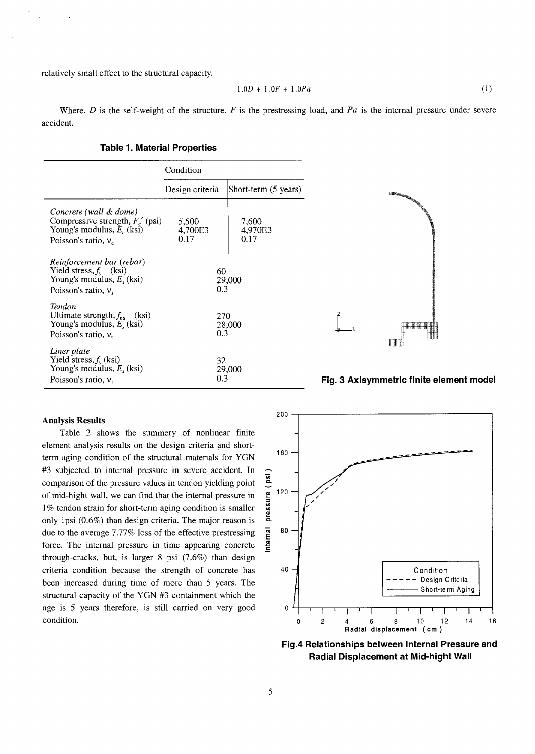relatively small effect to the structural capacity.

$$
1.0D + 1.0F + 1.0Pa \tag{1}
$$

Where, D is the self-weight of the structure, F is the prestressing load, and Pa is the internal pressure under severe accident.

ars)

|                                                                                                                        | Condition                |                          |  |  |  |
|------------------------------------------------------------------------------------------------------------------------|--------------------------|--------------------------|--|--|--|
|                                                                                                                        | Design criteria          | Short-term (5 yea        |  |  |  |
| Concrete (wall & dome)<br>Compressive strength, $F_c'$ (psi)<br>Young's modulus, $E_c$ (ksi)<br>Poisson's ratio, $v_c$ | 5,500<br>4,700E3<br>0.17 | 7,600<br>4,970E3<br>0.17 |  |  |  |
| Reinforcement bar (rebar)<br>Yield stress, $f_v$ (ksi)<br>Young's modulus, $E_s$ (ksi)<br>Poisson's ratio, $v_s$       | 60<br>0.3                | 29,000                   |  |  |  |
| Tendon<br>Ultimate strength, $f_{pu}$ (ksi)<br>Young's modulus, $E_s$ (ksi)<br>Poisson's ratio, $v_t$                  | 270<br>0.3               | 28,000                   |  |  |  |
| Liner plate<br>Yield stress, $f_{v}$ (ksi)<br>Young's modulus, $E_s$ (ksi)<br>Poisson's ratio, $v_s$                   | 32<br>0.3                | 29,000                   |  |  |  |

#### **Table 1. Material Properties**



## 0.3 **Fig. 3 Axisymmetric finite element model**

## **Analysis Results**

Table 2 shows the summery of nonlinear finite element analysis results on the design criteria and shortterm aging condition of the structural materials for YGN #3 subjected to internal pressure in severe accident. In comparison of the pressure values in tendon yielding point of mid-hight wall, we can find that the internal pressure in  $\frac{9}{2}$  120 1% tendon strain for short-term aging condition is smaller only 1psi  $(0.6\%)$  than design criteria. The major reason is due to the average 7.77% loss of the effective prestressing  $\frac{a}{e}$  80 force. The internal pressure in time appearing concrete through-cracks, but, is larger 8 psi (7.6%) than design criteria condition because the strength of concrete has 4o been increased during time of more than 5 years. The structural capacity of the YGN #3 containment which the age is 5 years therefore, is still carried on very good 0 condition.



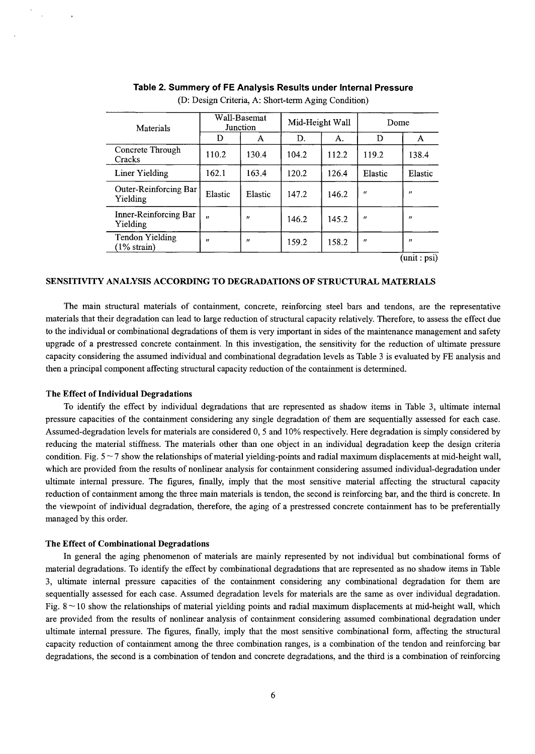| Materials                                          | Wall-Basemat<br>Junction |                   | Mid-Height Wall |       | Dome              |                       |
|----------------------------------------------------|--------------------------|-------------------|-----------------|-------|-------------------|-----------------------|
|                                                    | D                        | A                 | D.              | А.    | D                 | A                     |
| Concrete Through<br>Cracks                         | 110.2                    | 130.4             | 104.2           | 112.2 | 119.2             | 138.4                 |
| Liner Yielding                                     | 162.1                    | 163.4             | 120.2           | 126.4 | Elastic           | Elastic               |
| Outer-Reinforcing Bar<br>Yielding                  | Elastic                  | Elastic           | 147.2           | 146.2 | $^{\prime\prime}$ | ,,                    |
| Inner-Reinforcing Bar<br>Yielding                  | $^{\prime\prime}$        | $^{\prime\prime}$ | 146.2           | 145.2 | "                 | ,,                    |
| <b>Tendon Yielding</b><br>$(1\% \, \text{strain})$ | $^{\prime\prime}$        | $^{\prime\prime}$ | 159.2           | 158.2 | $^{\prime\prime}$ | $\boldsymbol{\theta}$ |
|                                                    |                          |                   |                 |       |                   | (unit:psi)            |

## **Table 2. Summery of FE Analysis Results under Internal Pressure**

(D: Design Criteria, A: Short-term Aging Condition)

## SENSITIVITY ANALYSIS ACCORDING TO DEGRADATIONS OF STRUCTURAL MATERIALS

The main structural materials of containment, concrete, reinforcing steel bars and tendons, are the representative materials that their degradation can lead to large reduction of structural capacity relatively. Therefore, to assess the effect due to the individual or combinational degradations of them is very important in sides of the maintenance management and safety upgrade of a prestressed concrete containment. In this investigation, the sensitivity for the reduction of ultimate pressure capacity considering the assumed individual and combinational degradation levels as Table 3 is evaluated by FE analysis and then a principal component affecting structural capacity reduction of the containment is determined.

#### **The Effect of Individual Degradations**

To identify the effect by individual degradations that are represented as shadow items in Table 3, ultimate intemal pressure capacities of the containment considering any single degradation of them are sequentially assessed for each case. Assumed-degradation levels for materials are considered 0, 5 and 10% respectively. Here degradation is simply considered by reducing the material stiffness. The materials other than one object in an individual degradation keep the design criteria condition. Fig.  $5\sim7$  show the relationships of material yielding-points and radial maximum displacements at mid-height wall, which are provided from the results of nonlinear analysis for containment considering assumed individual-degradation under ultimate intemal pressure. The figures, finally, imply that the most sensitive material affecting the structural capacity reduction of containment among the three main materials is tendon, the second is reinforcing bar, and the third is concrete. In the viewpoint of individual degradation, therefore, the aging of a prestressed concrete containment has to be preferentially managed by this order.

#### **The Effect of Combinational Degradations**

In general the aging phenomenon of materials are mainly represented by not individual but combinational forms of material degradations. To identify the effect by combinational degradations that are represented as no shadow items in Table 3, ultimate intemal pressure capacities of the containment considering any combinational degradation for them are sequentially assessed for each case. Assumed degradation levels for materials are the same as over individual degradation. Fig.  $8 \sim 10$  show the relationships of material yielding points and radial maximum displacements at mid-height wall, which are provided from the results of nonlinear analysis of containment considering assumed combinational degradation under ultimate internal pressure. The figures, finally, imply that the most sensitive combinational form, affecting the structural capacity reduction of containment among the three combination ranges, is a combination of the tendon and reinforcing bar degradations, the second is a combination of tendon and concrete degradations, and the third is a combination of reinforcing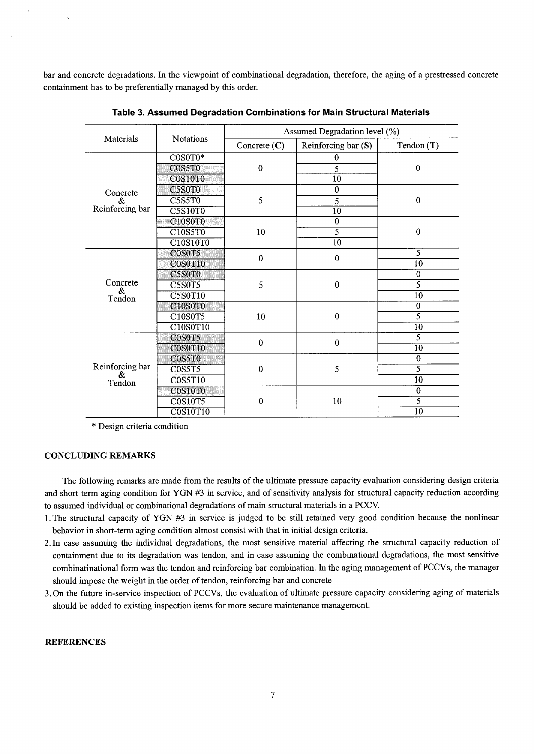bar and concrete degradations. In the viewpoint of combinational degradation, therefore, the aging of a prestressed concrete containment has to be preferentially managed by this order.

|                         | Notations                                     | Assumed Degradation level (%) |                     |                 |  |
|-------------------------|-----------------------------------------------|-------------------------------|---------------------|-----------------|--|
| Materials               |                                               | Concrete $(C)$                | Reinforcing bar (S) | Tendon(T)       |  |
|                         | $COSOT0*$                                     | $\bf{0}$                      | $\bf{0}$            |                 |  |
|                         | C0S5T0                                        |                               | 5                   | $\bf{0}$        |  |
|                         | C0S10T0                                       |                               | 10                  |                 |  |
| Concrete                | C5S0T0                                        | 5                             | $\overline{0}$      |                 |  |
| &                       | <b>C5S5T0</b>                                 |                               | 5                   | $\pmb{0}$       |  |
| Reinforcing bar         | <b>C5S10T0</b>                                |                               | $\overline{10}$     |                 |  |
|                         | C <sub>10</sub> S <sub>0</sub> T <sub>0</sub> | 10                            | $\overline{0}$      |                 |  |
|                         | C10S5T0                                       |                               | $\overline{5}$      | $\bf{0}$        |  |
|                         | C10S10T0                                      |                               | $\overline{10}$     |                 |  |
|                         | C0S0T5                                        | $\bf{0}$                      | $\bf{0}$            | $\overline{5}$  |  |
|                         | C0S0T10                                       |                               |                     | $\overline{10}$ |  |
|                         | C5S0T0                                        | 5                             | $\boldsymbol{0}$    | $\bf{0}$        |  |
| Concrete<br>&           | <b>C5S0T5</b>                                 |                               |                     | $\overline{5}$  |  |
| Tendon                  | <b>C5S0T10</b>                                |                               |                     | 10              |  |
|                         | <b>C10S0T0</b>                                | 10                            | $\bf{0}$            | $\overline{0}$  |  |
|                         | C10S0T5                                       |                               |                     | $\overline{5}$  |  |
|                         | C10S0T10                                      |                               |                     | 10              |  |
|                         | C0S0T5                                        | $\bf{0}$                      | $\bf{0}$            | $\overline{5}$  |  |
|                         | C0S0T10                                       |                               |                     | $\overline{10}$ |  |
|                         | C0S5T0                                        | $\bf{0}$                      | 5                   | $\bf{0}$        |  |
| Reinforcing bar<br>$\&$ | C0S5T5                                        |                               |                     | $\overline{5}$  |  |
| Tendon                  | <b>C0S5T10</b>                                |                               |                     | $\overline{10}$ |  |
|                         | C0S10T0                                       |                               | 10                  | $\overline{0}$  |  |
|                         | <b>C0S10T5</b>                                | $\bf{0}$                      |                     | $\overline{5}$  |  |
|                         | <b>C0S10T10</b>                               |                               |                     | $\overline{10}$ |  |

Table 3. Assumed Degradation Combinations for Main Structural Materials

\* Design criteria condition

### **CONCLUDING REMARKS**

The following remarks are made from the results of the ultimate pressure capacity evaluation considering design criteria and short-term aging condition for YGN #3 in service, and of sensitivity analysis for structural capacity reduction according to assumed individual or combinational degradations of main structural materials in a PCCV.

- 1. The structural capacity of YGN #3 in service is judged to be still retained very good condition because the nonlinear behavior in short-term aging condition almost consist with that in initial design criteria.
- 2. In case assuming the individual degradations, the most sensitive material affecting the structural capacity reduction of containment due to its degradation was tendon, and in case assuming the combinational degradations, the most sensitive combinatinational form was the tendon and reinforcing bar combination. In the aging management of PCCVs, the manager should impose the weight in the order of tendon, reinforcing bar and concrete
- 3. On the future in-service inspection of PCCVs, the evaluation of ultimate pressure capacity considering aging of materials should be added to existing inspection items for more secure maintenance management.

## **REFERENCES**